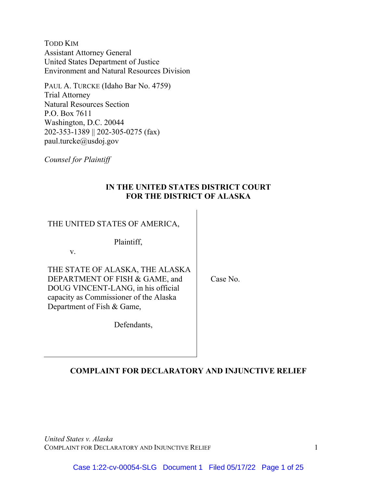TODD KIM Assistant Attorney General United States Department of Justice Environment and Natural Resources Division

PAUL A. TURCKE (Idaho Bar No. 4759) Trial Attorney Natural Resources Section P.O. Box 7611 Washington, D.C. 20044 202-353-1389 || 202-305-0275 (fax) paul.turcke@usdoj.gov

*Counsel for Plaintiff* 

# **IN THE UNITED STATES DISTRICT COURT FOR THE DISTRICT OF ALASKA**

THE UNITED STATES OF AMERICA,

Plaintiff,

v.

THE STATE OF ALASKA, THE ALASKA DEPARTMENT OF FISH & GAME, and DOUG VINCENT-LANG, in his official capacity as Commissioner of the Alaska Department of Fish & Game,

Case No.

Defendants,

# **COMPLAINT FOR DECLARATORY AND INJUNCTIVE RELIEF**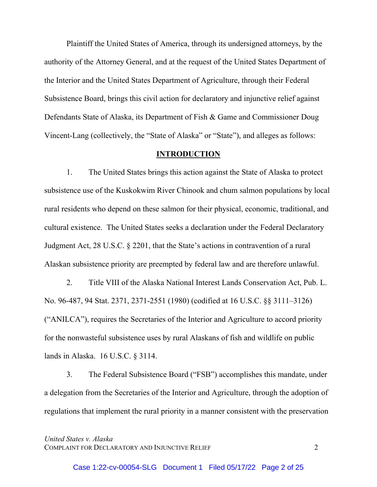Plaintiff the United States of America, through its undersigned attorneys, by the authority of the Attorney General, and at the request of the United States Department of the Interior and the United States Department of Agriculture, through their Federal Subsistence Board, brings this civil action for declaratory and injunctive relief against Defendants State of Alaska, its Department of Fish & Game and Commissioner Doug Vincent-Lang (collectively, the "State of Alaska" or "State"), and alleges as follows:

#### **INTRODUCTION**

1. The United States brings this action against the State of Alaska to protect subsistence use of the Kuskokwim River Chinook and chum salmon populations by local rural residents who depend on these salmon for their physical, economic, traditional, and cultural existence. The United States seeks a declaration under the Federal Declaratory Judgment Act, 28 U.S.C. § 2201, that the State's actions in contravention of a rural Alaskan subsistence priority are preempted by federal law and are therefore unlawful.

2. Title VIII of the Alaska National Interest Lands Conservation Act, Pub. L. No. 96-487, 94 Stat. 2371, 2371-2551 (1980) (codified at 16 U.S.C. §§ 3111–3126) ("ANILCA"), requires the Secretaries of the Interior and Agriculture to accord priority for the nonwasteful subsistence uses by rural Alaskans of fish and wildlife on public lands in Alaska. 16 U.S.C. § 3114.

3. The Federal Subsistence Board ("FSB") accomplishes this mandate, under a delegation from the Secretaries of the Interior and Agriculture, through the adoption of regulations that implement the rural priority in a manner consistent with the preservation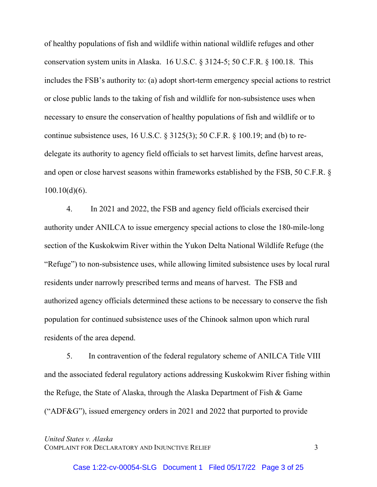of healthy populations of fish and wildlife within national wildlife refuges and other conservation system units in Alaska. 16 U.S.C. § 3124-5; 50 C.F.R. § 100.18. This includes the FSB's authority to: (a) adopt short-term emergency special actions to restrict or close public lands to the taking of fish and wildlife for non-subsistence uses when necessary to ensure the conservation of healthy populations of fish and wildlife or to continue subsistence uses, 16 U.S.C.  $\S 3125(3)$ ; 50 C.F.R.  $\S 100.19$ ; and (b) to redelegate its authority to agency field officials to set harvest limits, define harvest areas, and open or close harvest seasons within frameworks established by the FSB, 50 C.F.R. §  $100.10(d)(6)$ .

4. In 2021 and 2022, the FSB and agency field officials exercised their authority under ANILCA to issue emergency special actions to close the 180-mile-long section of the Kuskokwim River within the Yukon Delta National Wildlife Refuge (the "Refuge") to non-subsistence uses, while allowing limited subsistence uses by local rural residents under narrowly prescribed terms and means of harvest. The FSB and authorized agency officials determined these actions to be necessary to conserve the fish population for continued subsistence uses of the Chinook salmon upon which rural residents of the area depend.

5. In contravention of the federal regulatory scheme of ANILCA Title VIII and the associated federal regulatory actions addressing Kuskokwim River fishing within the Refuge, the State of Alaska, through the Alaska Department of Fish & Game ("ADF&G"), issued emergency orders in 2021 and 2022 that purported to provide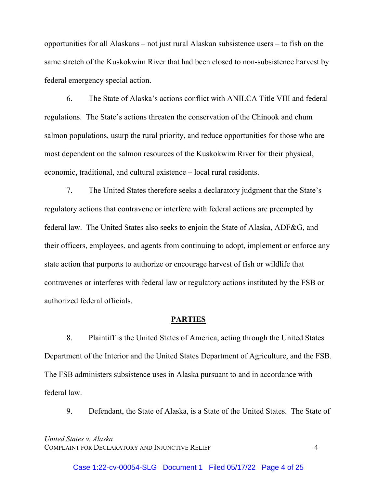opportunities for all Alaskans – not just rural Alaskan subsistence users – to fish on the same stretch of the Kuskokwim River that had been closed to non-subsistence harvest by federal emergency special action.

6. The State of Alaska's actions conflict with ANILCA Title VIII and federal regulations. The State's actions threaten the conservation of the Chinook and chum salmon populations, usurp the rural priority, and reduce opportunities for those who are most dependent on the salmon resources of the Kuskokwim River for their physical, economic, traditional, and cultural existence – local rural residents.

7. The United States therefore seeks a declaratory judgment that the State's regulatory actions that contravene or interfere with federal actions are preempted by federal law. The United States also seeks to enjoin the State of Alaska, ADF&G, and their officers, employees, and agents from continuing to adopt, implement or enforce any state action that purports to authorize or encourage harvest of fish or wildlife that contravenes or interferes with federal law or regulatory actions instituted by the FSB or authorized federal officials.

## **PARTIES**

8. Plaintiff is the United States of America, acting through the United States Department of the Interior and the United States Department of Agriculture, and the FSB. The FSB administers subsistence uses in Alaska pursuant to and in accordance with federal law.

9. Defendant, the State of Alaska, is a State of the United States. The State of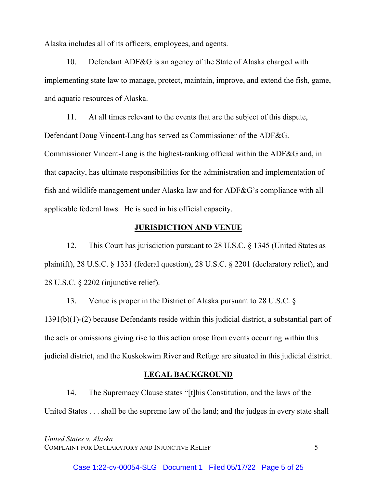Alaska includes all of its officers, employees, and agents.

10. Defendant ADF&G is an agency of the State of Alaska charged with implementing state law to manage, protect, maintain, improve, and extend the fish, game, and aquatic resources of Alaska.

 11. At all times relevant to the events that are the subject of this dispute, Defendant Doug Vincent-Lang has served as Commissioner of the ADF&G. Commissioner Vincent-Lang is the highest-ranking official within the ADF&G and, in that capacity, has ultimate responsibilities for the administration and implementation of fish and wildlife management under Alaska law and for ADF&G's compliance with all applicable federal laws. He is sued in his official capacity.

## **JURISDICTION AND VENUE**

12. This Court has jurisdiction pursuant to 28 U.S.C. § 1345 (United States as plaintiff), 28 U.S.C. § 1331 (federal question), 28 U.S.C. § 2201 (declaratory relief), and 28 U.S.C. § 2202 (injunctive relief).

13. Venue is proper in the District of Alaska pursuant to 28 U.S.C. § 1391(b)(1)-(2) because Defendants reside within this judicial district, a substantial part of the acts or omissions giving rise to this action arose from events occurring within this judicial district, and the Kuskokwim River and Refuge are situated in this judicial district.

#### **LEGAL BACKGROUND**

14. The Supremacy Clause states "[t]his Constitution, and the laws of the United States . . . shall be the supreme law of the land; and the judges in every state shall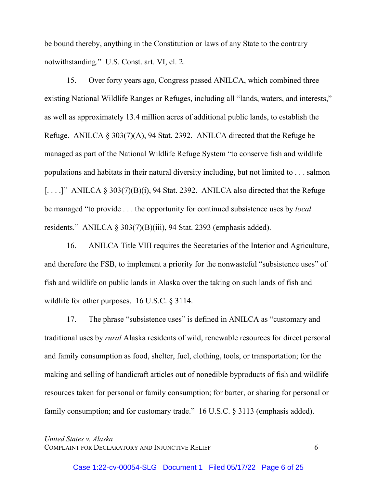be bound thereby, anything in the Constitution or laws of any State to the contrary notwithstanding." U.S. Const. art. VI, cl. 2.

15. Over forty years ago, Congress passed ANILCA, which combined three existing National Wildlife Ranges or Refuges, including all "lands, waters, and interests," as well as approximately 13.4 million acres of additional public lands, to establish the Refuge. ANILCA § 303(7)(A), 94 Stat. 2392. ANILCA directed that the Refuge be managed as part of the National Wildlife Refuge System "to conserve fish and wildlife populations and habitats in their natural diversity including, but not limited to . . . salmon  $\left[ \ldots \right]$ " ANILCA § 303(7)(B)(i), 94 Stat. 2392. ANILCA also directed that the Refuge be managed "to provide . . . the opportunity for continued subsistence uses by *local* residents." ANILCA § 303(7)(B)(iii), 94 Stat. 2393 (emphasis added).

16. ANILCA Title VIII requires the Secretaries of the Interior and Agriculture, and therefore the FSB, to implement a priority for the nonwasteful "subsistence uses" of fish and wildlife on public lands in Alaska over the taking on such lands of fish and wildlife for other purposes. 16 U.S.C. § 3114.

17. The phrase "subsistence uses" is defined in ANILCA as "customary and traditional uses by *rural* Alaska residents of wild, renewable resources for direct personal and family consumption as food, shelter, fuel, clothing, tools, or transportation; for the making and selling of handicraft articles out of nonedible byproducts of fish and wildlife resources taken for personal or family consumption; for barter, or sharing for personal or family consumption; and for customary trade." 16 U.S.C. § 3113 (emphasis added).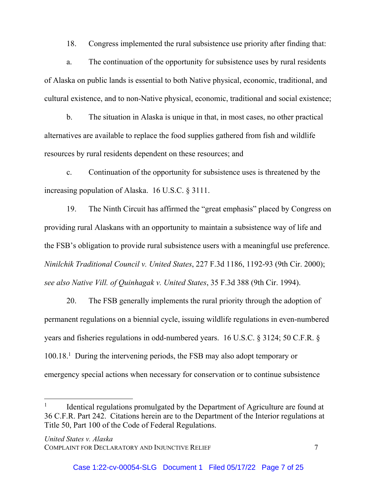18. Congress implemented the rural subsistence use priority after finding that:

a. The continuation of the opportunity for subsistence uses by rural residents of Alaska on public lands is essential to both Native physical, economic, traditional, and cultural existence, and to non-Native physical, economic, traditional and social existence;

b. The situation in Alaska is unique in that, in most cases, no other practical alternatives are available to replace the food supplies gathered from fish and wildlife resources by rural residents dependent on these resources; and

c. Continuation of the opportunity for subsistence uses is threatened by the increasing population of Alaska. 16 U.S.C. § 3111.

19. The Ninth Circuit has affirmed the "great emphasis" placed by Congress on providing rural Alaskans with an opportunity to maintain a subsistence way of life and the FSB's obligation to provide rural subsistence users with a meaningful use preference. *Ninilchik Traditional Council v. United States*, 227 F.3d 1186, 1192-93 (9th Cir. 2000); *see also Native Vill. of Quinhagak v. United States*, 35 F.3d 388 (9th Cir. 1994).

20. The FSB generally implements the rural priority through the adoption of permanent regulations on a biennial cycle, issuing wildlife regulations in even-numbered years and fisheries regulations in odd-numbered years. 16 U.S.C. § 3124; 50 C.F.R. § 100.18.1 During the intervening periods, the FSB may also adopt temporary or emergency special actions when necessary for conservation or to continue subsistence

l

Identical regulations promulgated by the Department of Agriculture are found at 36 C.F.R. Part 242. Citations herein are to the Department of the Interior regulations at Title 50, Part 100 of the Code of Federal Regulations.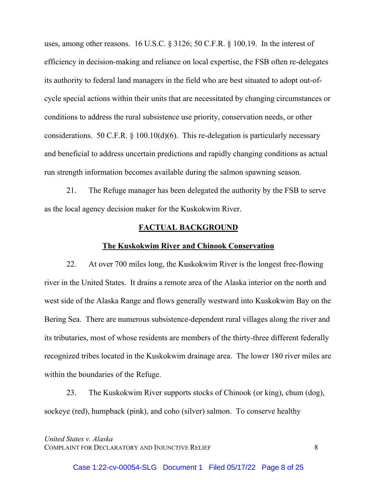uses, among other reasons. 16 U.S.C. § 3126; 50 C.F.R. § 100.19. In the interest of efficiency in decision-making and reliance on local expertise, the FSB often re-delegates its authority to federal land managers in the field who are best situated to adopt out-ofcycle special actions within their units that are necessitated by changing circumstances or conditions to address the rural subsistence use priority, conservation needs, or other considerations. 50 C.F.R.  $\S$  100.10(d)(6). This re-delegation is particularly necessary and beneficial to address uncertain predictions and rapidly changing conditions as actual run strength information becomes available during the salmon spawning season.

21. The Refuge manager has been delegated the authority by the FSB to serve as the local agency decision maker for the Kuskokwim River.

## **FACTUAL BACKGROUND**

#### **The Kuskokwim River and Chinook Conservation**

22. At over 700 miles long, the Kuskokwim River is the longest free-flowing river in the United States. It drains a remote area of the Alaska interior on the north and west side of the Alaska Range and flows generally westward into Kuskokwim Bay on the Bering Sea. There are numerous subsistence-dependent rural villages along the river and its tributaries, most of whose residents are members of the thirty-three different federally recognized tribes located in the Kuskokwim drainage area. The lower 180 river miles are within the boundaries of the Refuge.

23. The Kuskokwim River supports stocks of Chinook (or king), chum (dog), sockeye (red), humpback (pink), and coho (silver) salmon. To conserve healthy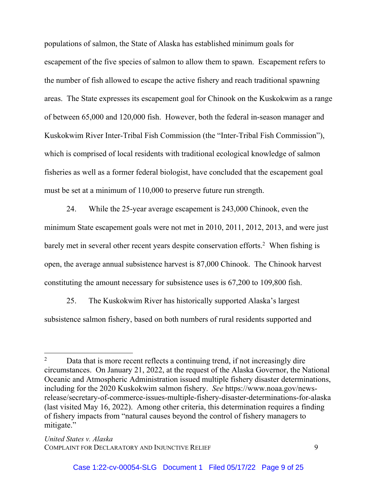populations of salmon, the State of Alaska has established minimum goals for escapement of the five species of salmon to allow them to spawn. Escapement refers to the number of fish allowed to escape the active fishery and reach traditional spawning areas. The State expresses its escapement goal for Chinook on the Kuskokwim as a range of between 65,000 and 120,000 fish. However, both the federal in-season manager and Kuskokwim River Inter-Tribal Fish Commission (the "Inter-Tribal Fish Commission"), which is comprised of local residents with traditional ecological knowledge of salmon fisheries as well as a former federal biologist, have concluded that the escapement goal must be set at a minimum of 110,000 to preserve future run strength.

24. While the 25-year average escapement is 243,000 Chinook, even the minimum State escapement goals were not met in 2010, 2011, 2012, 2013, and were just barely met in several other recent years despite conservation efforts.<sup>2</sup> When fishing is open, the average annual subsistence harvest is 87,000 Chinook. The Chinook harvest constituting the amount necessary for subsistence uses is 67,200 to 109,800 fish.

25. The Kuskokwim River has historically supported Alaska's largest subsistence salmon fishery, based on both numbers of rural residents supported and

l

Data that is more recent reflects a continuing trend, if not increasingly dire circumstances. On January 21, 2022, at the request of the Alaska Governor, the National Oceanic and Atmospheric Administration issued multiple fishery disaster determinations, including for the 2020 Kuskokwim salmon fishery. *See* https://www.noaa.gov/newsrelease/secretary-of-commerce-issues-multiple-fishery-disaster-determinations-for-alaska (last visited May 16, 2022). Among other criteria, this determination requires a finding of fishery impacts from "natural causes beyond the control of fishery managers to mitigate."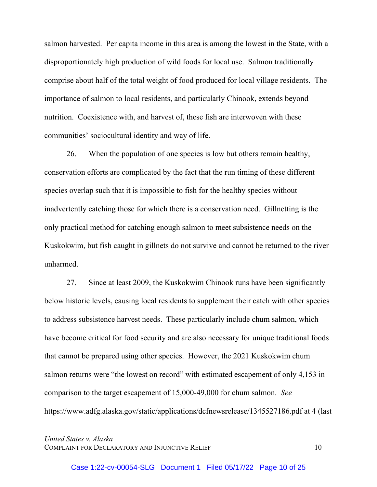salmon harvested. Per capita income in this area is among the lowest in the State, with a disproportionately high production of wild foods for local use. Salmon traditionally comprise about half of the total weight of food produced for local village residents. The importance of salmon to local residents, and particularly Chinook, extends beyond nutrition. Coexistence with, and harvest of, these fish are interwoven with these communities' sociocultural identity and way of life.

26. When the population of one species is low but others remain healthy, conservation efforts are complicated by the fact that the run timing of these different species overlap such that it is impossible to fish for the healthy species without inadvertently catching those for which there is a conservation need. Gillnetting is the only practical method for catching enough salmon to meet subsistence needs on the Kuskokwim, but fish caught in gillnets do not survive and cannot be returned to the river unharmed.

27. Since at least 2009, the Kuskokwim Chinook runs have been significantly below historic levels, causing local residents to supplement their catch with other species to address subsistence harvest needs. These particularly include chum salmon, which have become critical for food security and are also necessary for unique traditional foods that cannot be prepared using other species. However, the 2021 Kuskokwim chum salmon returns were "the lowest on record" with estimated escapement of only 4,153 in comparison to the target escapement of 15,000-49,000 for chum salmon. *See* https://www.adfg.alaska.gov/static/applications/dcfnewsrelease/1345527186.pdf at 4 (last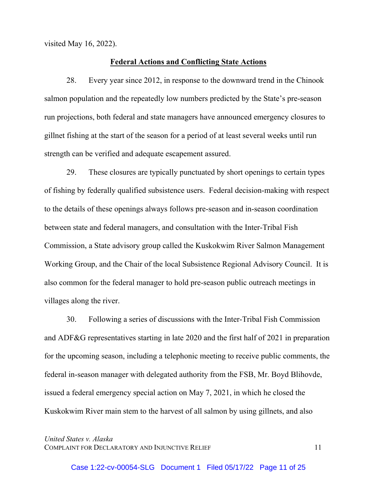visited May 16, 2022).

#### **Federal Actions and Conflicting State Actions**

28. Every year since 2012, in response to the downward trend in the Chinook salmon population and the repeatedly low numbers predicted by the State's pre-season run projections, both federal and state managers have announced emergency closures to gillnet fishing at the start of the season for a period of at least several weeks until run strength can be verified and adequate escapement assured.

29. These closures are typically punctuated by short openings to certain types of fishing by federally qualified subsistence users. Federal decision-making with respect to the details of these openings always follows pre-season and in-season coordination between state and federal managers, and consultation with the Inter-Tribal Fish Commission, a State advisory group called the Kuskokwim River Salmon Management Working Group, and the Chair of the local Subsistence Regional Advisory Council. It is also common for the federal manager to hold pre-season public outreach meetings in villages along the river.

30. Following a series of discussions with the Inter-Tribal Fish Commission and ADF&G representatives starting in late 2020 and the first half of 2021 in preparation for the upcoming season, including a telephonic meeting to receive public comments, the federal in-season manager with delegated authority from the FSB, Mr. Boyd Blihovde, issued a federal emergency special action on May 7, 2021, in which he closed the Kuskokwim River main stem to the harvest of all salmon by using gillnets, and also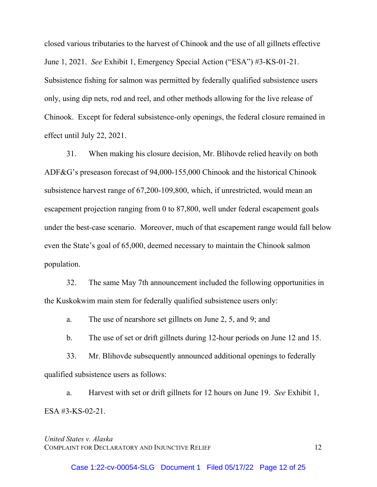closed various tributaries to the harvest of Chinook and the use of all gillnets effective June 1, 2021. *See* Exhibit 1, Emergency Special Action ("ESA") #3-KS-01-21. Subsistence fishing for salmon was permitted by federally qualified subsistence users only, using dip nets, rod and reel, and other methods allowing for the live release of Chinook. Except for federal subsistence-only openings, the federal closure remained in effect until July 22, 2021.

31. When making his closure decision, Mr. Blihovde relied heavily on both ADF&G's preseason forecast of 94,000-155,000 Chinook and the historical Chinook subsistence harvest range of 67,200-109,800, which, if unrestricted, would mean an escapement projection ranging from 0 to 87,800, well under federal escapement goals under the best-case scenario. Moreover, much of that escapement range would fall below even the State's goal of 65,000, deemed necessary to maintain the Chinook salmon population.

32. The same May 7th announcement included the following opportunities in the Kuskokwim main stem for federally qualified subsistence users only:

a. The use of nearshore set gillnets on June 2, 5, and 9; and

b. The use of set or drift gillnets during 12-hour periods on June 12 and 15.

33. Mr. Blihovde subsequently announced additional openings to federally qualified subsistence users as follows:

a. Harvest with set or drift gillnets for 12 hours on June 19. *See* Exhibit 1, ESA #3-KS-02-21.

## *United States v. Alaska*  COMPLAINT FOR DECLARATORY AND INJUNCTIVE RELIEF 12

Case 1:22-cv-00054-SLG Document 1 Filed 05/17/22 Page 12 of 25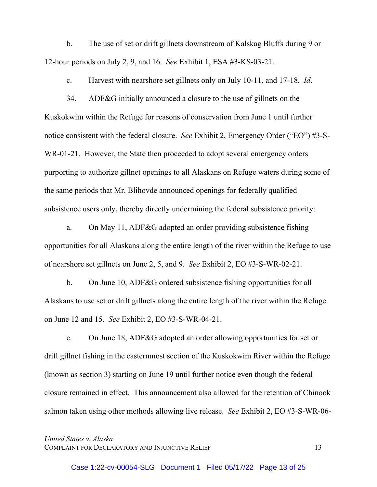b. The use of set or drift gillnets downstream of Kalskag Bluffs during 9 or 12-hour periods on July 2, 9, and 16. *See* Exhibit 1, ESA #3-KS-03-21.

c. Harvest with nearshore set gillnets only on July 10-11, and 17-18. *Id*.

34. ADF&G initially announced a closure to the use of gillnets on the Kuskokwim within the Refuge for reasons of conservation from June 1 until further notice consistent with the federal closure. *See* Exhibit 2, Emergency Order ("EO") #3-S-WR-01-21. However, the State then proceeded to adopt several emergency orders purporting to authorize gillnet openings to all Alaskans on Refuge waters during some of the same periods that Mr. Blihovde announced openings for federally qualified subsistence users only, thereby directly undermining the federal subsistence priority:

a. On May 11, ADF&G adopted an order providing subsistence fishing opportunities for all Alaskans along the entire length of the river within the Refuge to use of nearshore set gillnets on June 2, 5, and 9. *See* Exhibit 2, EO #3-S-WR-02-21.

b. On June 10, ADF&G ordered subsistence fishing opportunities for all Alaskans to use set or drift gillnets along the entire length of the river within the Refuge on June 12 and 15. *See* Exhibit 2, EO #3-S-WR-04-21.

c. On June 18, ADF&G adopted an order allowing opportunities for set or drift gillnet fishing in the easternmost section of the Kuskokwim River within the Refuge (known as section 3) starting on June 19 until further notice even though the federal closure remained in effect. This announcement also allowed for the retention of Chinook salmon taken using other methods allowing live release. *See* Exhibit 2, EO #3-S-WR-06-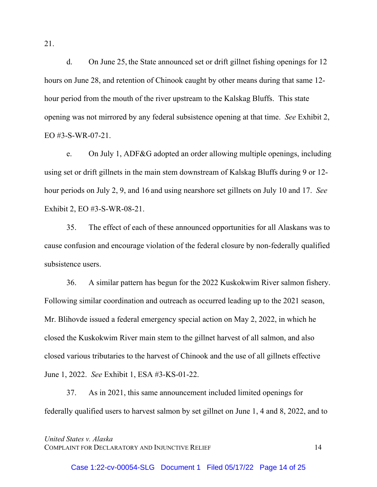d. On June 25, the State announced set or drift gillnet fishing openings for 12 hours on June 28, and retention of Chinook caught by other means during that same 12 hour period from the mouth of the river upstream to the Kalskag Bluffs. This state opening was not mirrored by any federal subsistence opening at that time. *See* Exhibit 2, EO #3-S-WR-07-21.

e. On July 1, ADF&G adopted an order allowing multiple openings, including using set or drift gillnets in the main stem downstream of Kalskag Bluffs during 9 or 12 hour periods on July 2, 9, and 16 and using nearshore set gillnets on July 10 and 17. *See* Exhibit 2, EO #3-S-WR-08-21.

35. The effect of each of these announced opportunities for all Alaskans was to cause confusion and encourage violation of the federal closure by non-federally qualified subsistence users.

36. A similar pattern has begun for the 2022 Kuskokwim River salmon fishery. Following similar coordination and outreach as occurred leading up to the 2021 season, Mr. Blihovde issued a federal emergency special action on May 2, 2022, in which he closed the Kuskokwim River main stem to the gillnet harvest of all salmon, and also closed various tributaries to the harvest of Chinook and the use of all gillnets effective June 1, 2022. *See* Exhibit 1, ESA #3-KS-01-22.

37. As in 2021, this same announcement included limited openings for federally qualified users to harvest salmon by set gillnet on June 1, 4 and 8, 2022, and to

*United States v. Alaska*  COMPLAINT FOR DECLARATORY AND INJUNCTIVE RELIEF 14

21.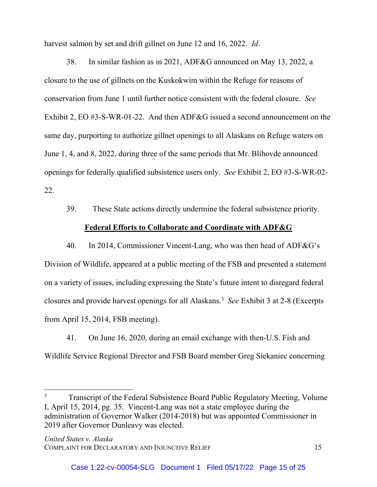harvest salmon by set and drift gillnet on June 12 and 16, 2022. *Id*.

38. In similar fashion as in 2021, ADF&G announced on May 13, 2022, a closure to the use of gillnets on the Kuskokwim within the Refuge for reasons of conservation from June 1 until further notice consistent with the federal closure. *See* Exhibit 2, EO #3-S-WR-01-22. And then ADF&G issued a second announcement on the same day, purporting to authorize gillnet openings to all Alaskans on Refuge waters on June 1, 4, and 8, 2022, during three of the same periods that Mr. Blihovde announced openings for federally qualified subsistence users only. *See* Exhibit 2, EO #3-S-WR-02- 22.

39. These State actions directly undermine the federal subsistence priority.

# **Federal Efforts to Collaborate and Coordinate with ADF&G**

40. In 2014, Commissioner Vincent-Lang, who was then head of ADF&G's Division of Wildlife, appeared at a public meeting of the FSB and presented a statement on a variety of issues, including expressing the State's future intent to disregard federal closures and provide harvest openings for all Alaskans.3 *See* Exhibit 3 at 2-8 (Excerpts from April 15, 2014, FSB meeting).

41. On June 16, 2020, during an email exchange with then-U.S. Fish and Wildlife Service Regional Director and FSB Board member Greg Siekaniec concerning

l

<sup>3</sup> Transcript of the Federal Subsistence Board Public Regulatory Meeting, Volume I, April 15, 2014, pg. 35. Vincent-Lang was not a state employee during the administration of Governor Walker (2014-2018) but was appointed Commissioner in 2019 after Governor Dunleavy was elected.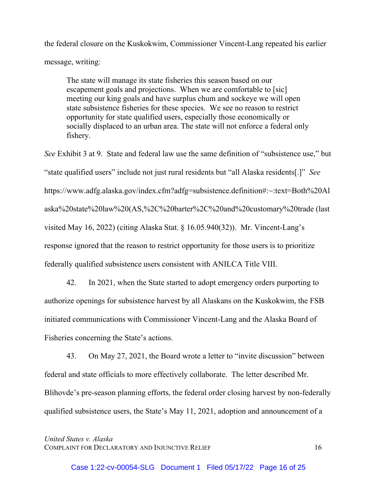the federal closure on the Kuskokwim, Commissioner Vincent-Lang repeated his earlier message, writing:

The state will manage its state fisheries this season based on our escapement goals and projections. When we are comfortable to [sic] meeting our king goals and have surplus chum and sockeye we will open state subsistence fisheries for these species. We see no reason to restrict opportunity for state qualified users, especially those economically or socially displaced to an urban area. The state will not enforce a federal only fishery.

*See* Exhibit 3 at 9. State and federal law use the same definition of "subsistence use," but "state qualified users" include not just rural residents but "all Alaska residents[.]" *See* https://www.adfg.alaska.gov/index.cfm?adfg=subsistence.definition#:~:text=Both%20Al aska%20state%20law%20(AS,%2C%20barter%2C%20and%20customary%20trade (last visited May 16, 2022) (citing Alaska Stat. § 16.05.940(32)). Mr. Vincent-Lang's response ignored that the reason to restrict opportunity for those users is to prioritize federally qualified subsistence users consistent with ANILCA Title VIII.

42. In 2021, when the State started to adopt emergency orders purporting to authorize openings for subsistence harvest by all Alaskans on the Kuskokwim, the FSB initiated communications with Commissioner Vincent-Lang and the Alaska Board of Fisheries concerning the State's actions.

43. On May 27, 2021, the Board wrote a letter to "invite discussion" between federal and state officials to more effectively collaborate. The letter described Mr. Blihovde's pre-season planning efforts, the federal order closing harvest by non-federally qualified subsistence users, the State's May 11, 2021, adoption and announcement of a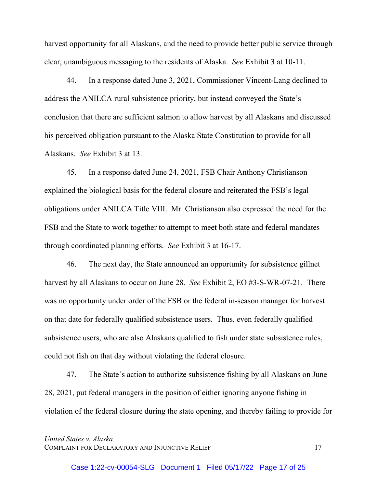harvest opportunity for all Alaskans, and the need to provide better public service through clear, unambiguous messaging to the residents of Alaska. *See* Exhibit 3 at 10-11.

44. In a response dated June 3, 2021, Commissioner Vincent-Lang declined to address the ANILCA rural subsistence priority, but instead conveyed the State's conclusion that there are sufficient salmon to allow harvest by all Alaskans and discussed his perceived obligation pursuant to the Alaska State Constitution to provide for all Alaskans. *See* Exhibit 3 at 13.

45. In a response dated June 24, 2021, FSB Chair Anthony Christianson explained the biological basis for the federal closure and reiterated the FSB's legal obligations under ANILCA Title VIII. Mr. Christianson also expressed the need for the FSB and the State to work together to attempt to meet both state and federal mandates through coordinated planning efforts. *See* Exhibit 3 at 16-17.

46. The next day, the State announced an opportunity for subsistence gillnet harvest by all Alaskans to occur on June 28. *See* Exhibit 2, EO #3-S-WR-07-21. There was no opportunity under order of the FSB or the federal in-season manager for harvest on that date for federally qualified subsistence users. Thus, even federally qualified subsistence users, who are also Alaskans qualified to fish under state subsistence rules, could not fish on that day without violating the federal closure.

47. The State's action to authorize subsistence fishing by all Alaskans on June 28, 2021, put federal managers in the position of either ignoring anyone fishing in violation of the federal closure during the state opening, and thereby failing to provide for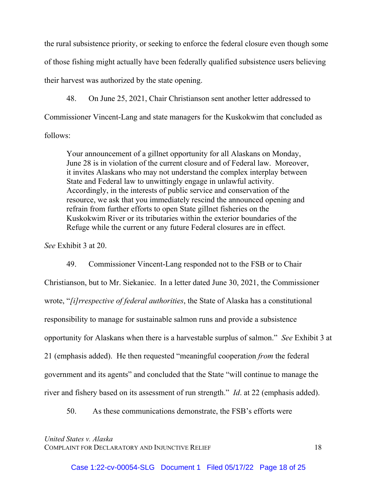the rural subsistence priority, or seeking to enforce the federal closure even though some of those fishing might actually have been federally qualified subsistence users believing their harvest was authorized by the state opening.

48. On June 25, 2021, Chair Christianson sent another letter addressed to Commissioner Vincent-Lang and state managers for the Kuskokwim that concluded as follows:

Your announcement of a gillnet opportunity for all Alaskans on Monday, June 28 is in violation of the current closure and of Federal law. Moreover, it invites Alaskans who may not understand the complex interplay between State and Federal law to unwittingly engage in unlawful activity. Accordingly, in the interests of public service and conservation of the resource, we ask that you immediately rescind the announced opening and refrain from further efforts to open State gillnet fisheries on the Kuskokwim River or its tributaries within the exterior boundaries of the Refuge while the current or any future Federal closures are in effect.

*See* Exhibit 3 at 20.

49. Commissioner Vincent-Lang responded not to the FSB or to Chair Christianson, but to Mr. Siekaniec. In a letter dated June 30, 2021, the Commissioner wrote, "*[i]rrespective of federal authorities*, the State of Alaska has a constitutional responsibility to manage for sustainable salmon runs and provide a subsistence opportunity for Alaskans when there is a harvestable surplus of salmon." *See* Exhibit 3 at 21 (emphasis added). He then requested "meaningful cooperation *from* the federal government and its agents" and concluded that the State "will continue to manage the river and fishery based on its assessment of run strength." *Id*. at 22 (emphasis added).

50. As these communications demonstrate, the FSB's efforts were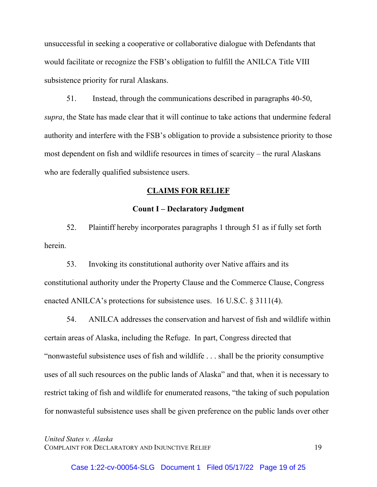unsuccessful in seeking a cooperative or collaborative dialogue with Defendants that would facilitate or recognize the FSB's obligation to fulfill the ANILCA Title VIII subsistence priority for rural Alaskans.

51. Instead, through the communications described in paragraphs 40-50, *supra*, the State has made clear that it will continue to take actions that undermine federal authority and interfere with the FSB's obligation to provide a subsistence priority to those most dependent on fish and wildlife resources in times of scarcity – the rural Alaskans who are federally qualified subsistence users.

#### **CLAIMS FOR RELIEF**

#### **Count I – Declaratory Judgment**

52. Plaintiff hereby incorporates paragraphs 1 through 51 as if fully set forth herein.

53. Invoking its constitutional authority over Native affairs and its constitutional authority under the Property Clause and the Commerce Clause, Congress enacted ANILCA's protections for subsistence uses. 16 U.S.C. § 3111(4).

54. ANILCA addresses the conservation and harvest of fish and wildlife within certain areas of Alaska, including the Refuge. In part, Congress directed that "nonwasteful subsistence uses of fish and wildlife . . . shall be the priority consumptive uses of all such resources on the public lands of Alaska" and that, when it is necessary to restrict taking of fish and wildlife for enumerated reasons, "the taking of such population for nonwasteful subsistence uses shall be given preference on the public lands over other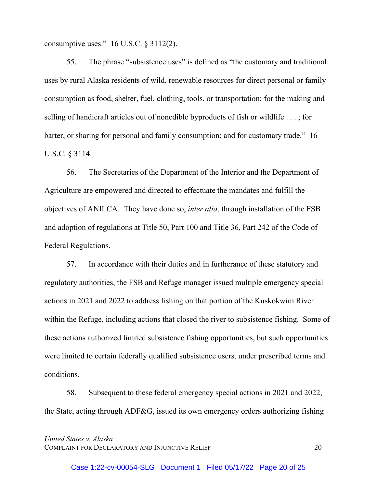consumptive uses."  $16$  U.S.C. § 3112(2).

55. The phrase "subsistence uses" is defined as "the customary and traditional uses by rural Alaska residents of wild, renewable resources for direct personal or family consumption as food, shelter, fuel, clothing, tools, or transportation; for the making and selling of handicraft articles out of nonedible byproducts of fish or wildlife . . . ; for barter, or sharing for personal and family consumption; and for customary trade." 16 U.S.C. § 3114.

56. The Secretaries of the Department of the Interior and the Department of Agriculture are empowered and directed to effectuate the mandates and fulfill the objectives of ANILCA. They have done so, *inter alia*, through installation of the FSB and adoption of regulations at Title 50, Part 100 and Title 36, Part 242 of the Code of Federal Regulations.

57. In accordance with their duties and in furtherance of these statutory and regulatory authorities, the FSB and Refuge manager issued multiple emergency special actions in 2021 and 2022 to address fishing on that portion of the Kuskokwim River within the Refuge, including actions that closed the river to subsistence fishing. Some of these actions authorized limited subsistence fishing opportunities, but such opportunities were limited to certain federally qualified subsistence users, under prescribed terms and conditions.

58. Subsequent to these federal emergency special actions in 2021 and 2022, the State, acting through ADF&G, issued its own emergency orders authorizing fishing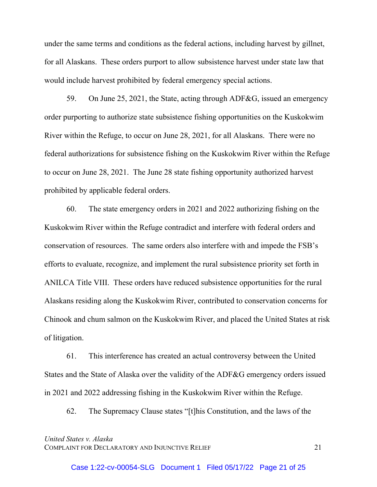under the same terms and conditions as the federal actions, including harvest by gillnet, for all Alaskans. These orders purport to allow subsistence harvest under state law that would include harvest prohibited by federal emergency special actions.

59. On June 25, 2021, the State, acting through ADF&G, issued an emergency order purporting to authorize state subsistence fishing opportunities on the Kuskokwim River within the Refuge, to occur on June 28, 2021, for all Alaskans. There were no federal authorizations for subsistence fishing on the Kuskokwim River within the Refuge to occur on June 28, 2021. The June 28 state fishing opportunity authorized harvest prohibited by applicable federal orders.

60. The state emergency orders in 2021 and 2022 authorizing fishing on the Kuskokwim River within the Refuge contradict and interfere with federal orders and conservation of resources. The same orders also interfere with and impede the FSB's efforts to evaluate, recognize, and implement the rural subsistence priority set forth in ANILCA Title VIII. These orders have reduced subsistence opportunities for the rural Alaskans residing along the Kuskokwim River, contributed to conservation concerns for Chinook and chum salmon on the Kuskokwim River, and placed the United States at risk of litigation.

61. This interference has created an actual controversy between the United States and the State of Alaska over the validity of the ADF&G emergency orders issued in 2021 and 2022 addressing fishing in the Kuskokwim River within the Refuge.

62. The Supremacy Clause states "[t]his Constitution, and the laws of the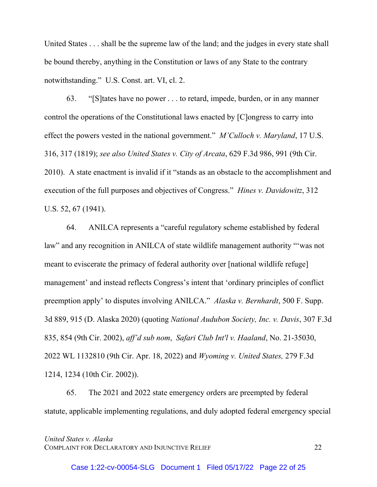United States . . . shall be the supreme law of the land; and the judges in every state shall be bound thereby, anything in the Constitution or laws of any State to the contrary notwithstanding." U.S. Const. art. VI, cl. 2.

63. "[S]tates have no power . . . to retard, impede, burden, or in any manner control the operations of the Constitutional laws enacted by [C]ongress to carry into effect the powers vested in the national government." *M'Culloch v. Maryland*, 17 U.S. 316, 317 (1819); *see also United States v. City of Arcata*, 629 F.3d 986, 991 (9th Cir. 2010). A state enactment is invalid if it "stands as an obstacle to the accomplishment and execution of the full purposes and objectives of Congress." *Hines v. Davidowitz*, 312 U.S. 52, 67 (1941).

64. ANILCA represents a "careful regulatory scheme established by federal law" and any recognition in ANILCA of state wildlife management authority "'was not meant to eviscerate the primacy of federal authority over [national wildlife refuge] management' and instead reflects Congress's intent that 'ordinary principles of conflict preemption apply' to disputes involving ANILCA." *Alaska v. Bernhardt*, 500 F. Supp. 3d 889, 915 (D. Alaska 2020) (quoting *National Audubon Society, Inc. v. Davis*, 307 F.3d 835, 854 (9th Cir. 2002), *aff'd sub nom*, *Safari Club Int'l v. Haaland*, No. 21-35030, 2022 WL 1132810 (9th Cir. Apr. 18, 2022) and *Wyoming v. United States,* 279 F.3d 1214, 1234 (10th Cir. 2002)).

65. The 2021 and 2022 state emergency orders are preempted by federal statute, applicable implementing regulations, and duly adopted federal emergency special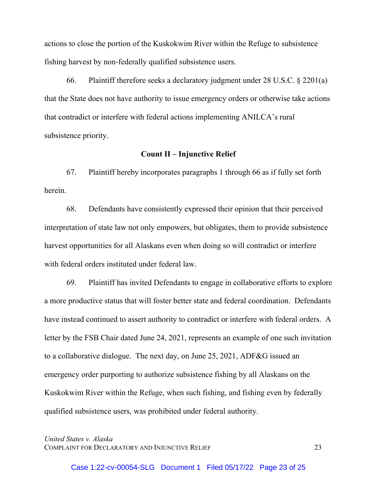actions to close the portion of the Kuskokwim River within the Refuge to subsistence fishing harvest by non-federally qualified subsistence users.

66. Plaintiff therefore seeks a declaratory judgment under 28 U.S.C. § 2201(a) that the State does not have authority to issue emergency orders or otherwise take actions that contradict or interfere with federal actions implementing ANILCA's rural subsistence priority.

## **Count II – Injunctive Relief**

 67. Plaintiff hereby incorporates paragraphs 1 through 66 as if fully set forth herein.

 68. Defendants have consistently expressed their opinion that their perceived interpretation of state law not only empowers, but obligates, them to provide subsistence harvest opportunities for all Alaskans even when doing so will contradict or interfere with federal orders instituted under federal law.

 69. Plaintiff has invited Defendants to engage in collaborative efforts to explore a more productive status that will foster better state and federal coordination. Defendants have instead continued to assert authority to contradict or interfere with federal orders. A letter by the FSB Chair dated June 24, 2021, represents an example of one such invitation to a collaborative dialogue. The next day, on June 25, 2021, ADF&G issued an emergency order purporting to authorize subsistence fishing by all Alaskans on the Kuskokwim River within the Refuge, when such fishing, and fishing even by federally qualified subsistence users, was prohibited under federal authority.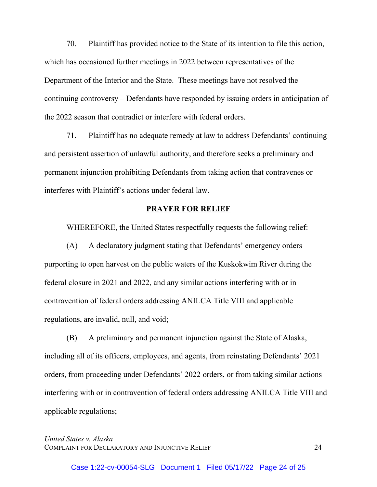70. Plaintiff has provided notice to the State of its intention to file this action, which has occasioned further meetings in 2022 between representatives of the Department of the Interior and the State. These meetings have not resolved the continuing controversy – Defendants have responded by issuing orders in anticipation of the 2022 season that contradict or interfere with federal orders.

 71. Plaintiff has no adequate remedy at law to address Defendants' continuing and persistent assertion of unlawful authority, and therefore seeks a preliminary and permanent injunction prohibiting Defendants from taking action that contravenes or interferes with Plaintiff's actions under federal law.

#### **PRAYER FOR RELIEF**

WHEREFORE, the United States respectfully requests the following relief:

 (A) A declaratory judgment stating that Defendants' emergency orders purporting to open harvest on the public waters of the Kuskokwim River during the federal closure in 2021 and 2022, and any similar actions interfering with or in contravention of federal orders addressing ANILCA Title VIII and applicable regulations, are invalid, null, and void;

 (B) A preliminary and permanent injunction against the State of Alaska, including all of its officers, employees, and agents, from reinstating Defendants' 2021 orders, from proceeding under Defendants' 2022 orders, or from taking similar actions interfering with or in contravention of federal orders addressing ANILCA Title VIII and applicable regulations;